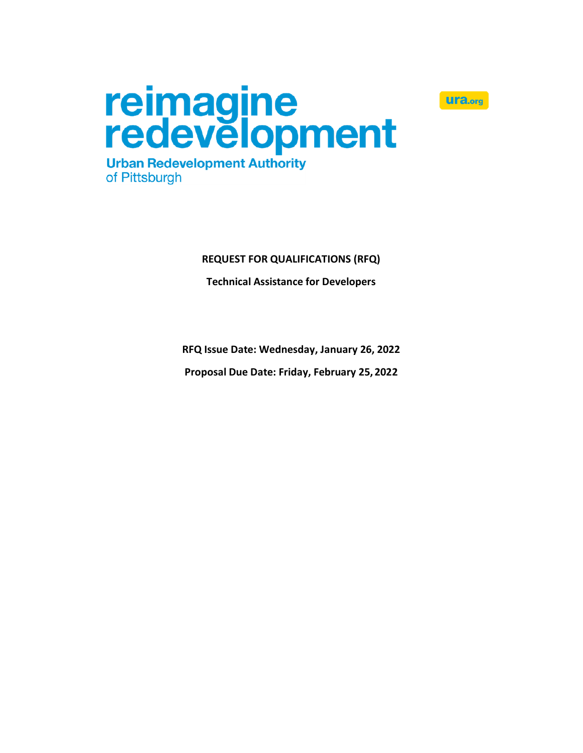



# **REQUEST FOR QUALIFICATIONS (RFQ)**

# **Technical Assistance for Developers**

**RFQ Issue Date: Wednesday, January 26, 2022**

**Proposal Due Date: Friday, February 25, 2022**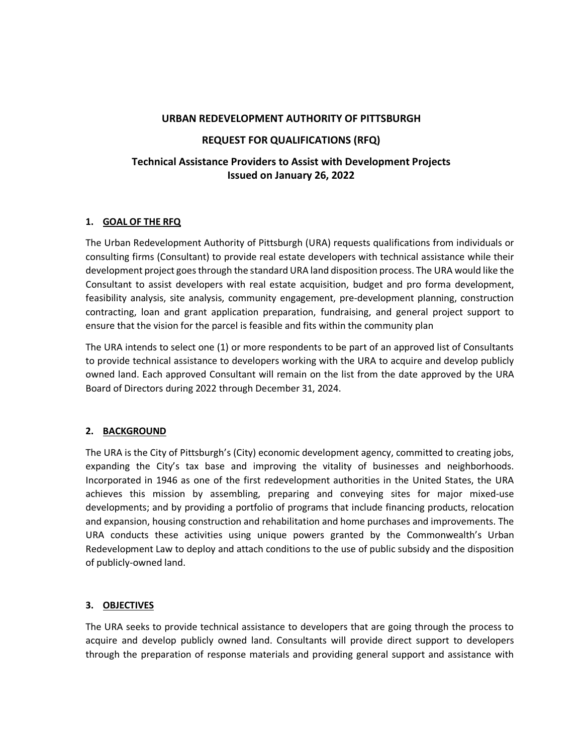#### **URBAN REDEVELOPMENT AUTHORITY OF PITTSBURGH**

### **REQUEST FOR QUALIFICATIONS (RFQ)**

# **Technical Assistance Providers to Assist with Development Projects Issued on January 26, 2022**

### **1. GOAL OF THE RFQ**

The Urban Redevelopment Authority of Pittsburgh (URA) requests qualifications from individuals or consulting firms (Consultant) to provide real estate developers with technical assistance while their development project goes through the standard URA land disposition process. The URA would like the Consultant to assist developers with real estate acquisition, budget and pro forma development, feasibility analysis, site analysis, community engagement, pre-development planning, construction contracting, loan and grant application preparation, fundraising, and general project support to ensure that the vision for the parcel is feasible and fits within the community plan

The URA intends to select one (1) or more respondents to be part of an approved list of Consultants to provide technical assistance to developers working with the URA to acquire and develop publicly owned land. Each approved Consultant will remain on the list from the date approved by the URA Board of Directors during 2022 through December 31, 2024.

#### **2. BACKGROUND**

The URA is the City of Pittsburgh's (City) economic development agency, committed to creating jobs, expanding the City's tax base and improving the vitality of businesses and neighborhoods. Incorporated in 1946 as one of the first redevelopment authorities in the United States, the URA achieves this mission by assembling, preparing and conveying sites for major mixed-use developments; and by providing a portfolio of programs that include financing products, relocation and expansion, housing construction and rehabilitation and home purchases and improvements. The URA conducts these activities using unique powers granted by the Commonwealth's Urban Redevelopment Law to deploy and attach conditions to the use of public subsidy and the disposition of publicly-owned land.

#### **3. OBJECTIVES**

The URA seeks to provide technical assistance to developers that are going through the process to acquire and develop publicly owned land. Consultants will provide direct support to developers through the preparation of response materials and providing general support and assistance with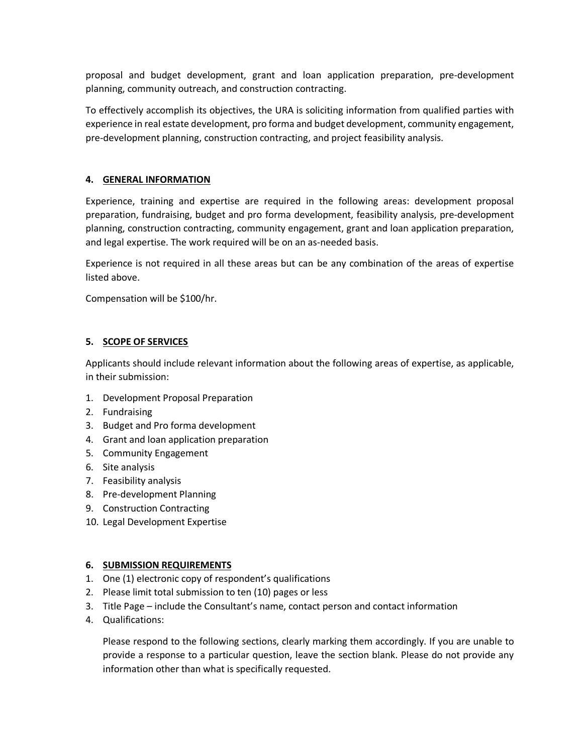proposal and budget development, grant and loan application preparation, pre-development planning, community outreach, and construction contracting.

To effectively accomplish its objectives, the URA is soliciting information from qualified parties with experience in real estate development, pro forma and budget development, community engagement, pre-development planning, construction contracting, and project feasibility analysis.

## **4. GENERAL INFORMATION**

Experience, training and expertise are required in the following areas: development proposal preparation, fundraising, budget and pro forma development, feasibility analysis, pre-development planning, construction contracting, community engagement, grant and loan application preparation, and legal expertise. The work required will be on an as-needed basis.

Experience is not required in all these areas but can be any combination of the areas of expertise listed above.

Compensation will be \$100/hr.

## **5. SCOPE OF SERVICES**

Applicants should include relevant information about the following areas of expertise, as applicable, in their submission:

- 1. Development Proposal Preparation
- 2. Fundraising
- 3. Budget and Pro forma development
- 4. Grant and loan application preparation
- 5. Community Engagement
- 6. Site analysis
- 7. Feasibility analysis
- 8. Pre-development Planning
- 9. Construction Contracting
- 10. Legal Development Expertise

#### **6. SUBMISSION REQUIREMENTS**

- 1. One (1) electronic copy of respondent's qualifications
- 2. Please limit total submission to ten (10) pages or less
- 3. Title Page include the Consultant's name, contact person and contact information
- 4. Qualifications:

Please respond to the following sections, clearly marking them accordingly. If you are unable to provide a response to a particular question, leave the section blank. Please do not provide any information other than what is specifically requested.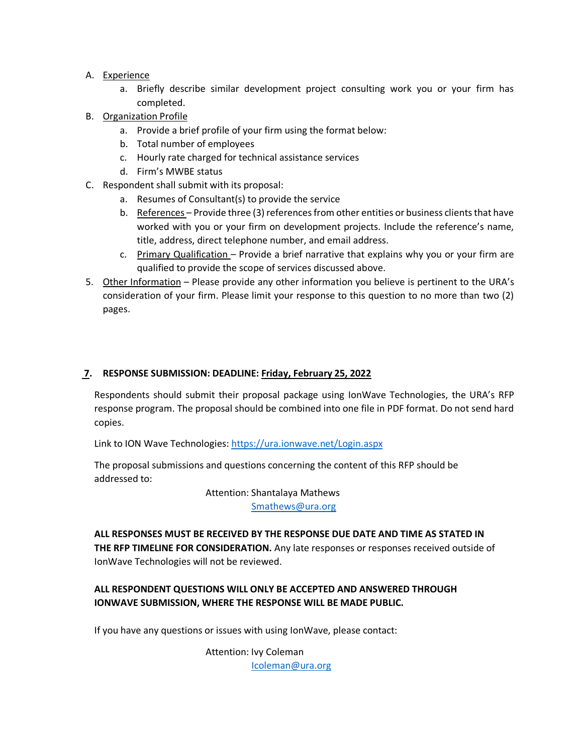- A. Experience
	- a. Briefly describe similar development project consulting work you or your firm has completed.
- B. Organization Profile
	- a. Provide a brief profile of your firm using the format below:
	- b. Total number of employees
	- c. Hourly rate charged for technical assistance services
	- d. Firm's MWBE status
- C. Respondent shall submit with its proposal:
	- a. Resumes of Consultant(s) to provide the service
	- b. References Provide three (3) references from other entities or business clients that have worked with you or your firm on development projects. Include the reference's name, title, address, direct telephone number, and email address.
	- c. Primary Qualification Provide a brief narrative that explains why you or your firm are qualified to provide the scope of services discussed above.
- 5. Other Information Please provide any other information you believe is pertinent to the URA's consideration of your firm. Please limit your response to this question to no more than two (2) pages.

### **7. RESPONSE SUBMISSION: DEADLINE: Friday, February 25, 2022**

Respondents should submit their proposal package using IonWave Technologies, the URA's RFP response program. The proposal should be combined into one file in PDF format. Do not send hard copies.

Link to ION Wave Technologies:<https://ura.ionwave.net/Login.aspx>

The proposal submissions and questions concerning the content of this RFP should be addressed to:

Attention: Shantalaya Mathews

[Smathews@ura.org](mailto:Smathews@ura.org)

**ALL RESPONSES MUST BE RECEIVED BY THE RESPONSE DUE DATE AND TIME AS STATED IN THE RFP TIMELINE FOR CONSIDERATION.** Any late responses or responses received outside of IonWave Technologies will not be reviewed.

### **ALL RESPONDENT QUESTIONS WILL ONLY BE ACCEPTED AND ANSWERED THROUGH IONWAVE SUBMISSION, WHERE THE RESPONSE WILL BE MADE PUBLIC.**

If you have any questions or issues with using IonWave, please contact:

Attention: Ivy Coleman [Icoleman@ura.org](mailto:Icoleman@ura.org)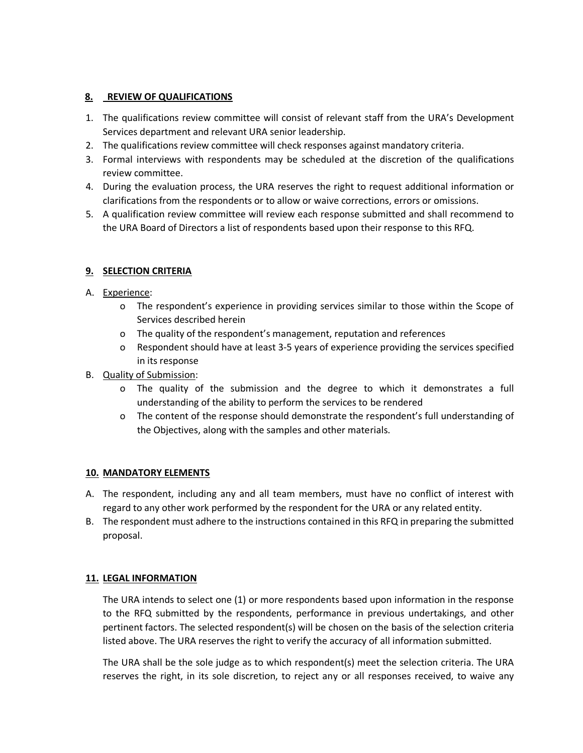### **8. REVIEW OF QUALIFICATIONS**

- 1. The qualifications review committee will consist of relevant staff from the URA's Development Services department and relevant URA senior leadership.
- 2. The qualifications review committee will check responses against mandatory criteria.
- 3. Formal interviews with respondents may be scheduled at the discretion of the qualifications review committee.
- 4. During the evaluation process, the URA reserves the right to request additional information or clarifications from the respondents or to allow or waive corrections, errors or omissions.
- 5. A qualification review committee will review each response submitted and shall recommend to the URA Board of Directors a list of respondents based upon their response to this RFQ.

# **9. SELECTION CRITERIA**

- A. Experience:
	- o The respondent's experience in providing services similar to those within the Scope of Services described herein
	- o The quality of the respondent's management, reputation and references
	- o Respondent should have at least 3-5 years of experience providing the services specified in its response
- B. Quality of Submission:
	- o The quality of the submission and the degree to which it demonstrates a full understanding of the ability to perform the services to be rendered
	- o The content of the response should demonstrate the respondent's full understanding of the Objectives, along with the samples and other materials.

## **10. MANDATORY ELEMENTS**

- A. The respondent, including any and all team members, must have no conflict of interest with regard to any other work performed by the respondent for the URA or any related entity.
- B. The respondent must adhere to the instructions contained in this RFQ in preparing the submitted proposal.

## **11. LEGAL INFORMATION**

The URA intends to select one (1) or more respondents based upon information in the response to the RFQ submitted by the respondents, performance in previous undertakings, and other pertinent factors. The selected respondent(s) will be chosen on the basis of the selection criteria listed above. The URA reserves the right to verify the accuracy of all information submitted.

The URA shall be the sole judge as to which respondent(s) meet the selection criteria. The URA reserves the right, in its sole discretion, to reject any or all responses received, to waive any